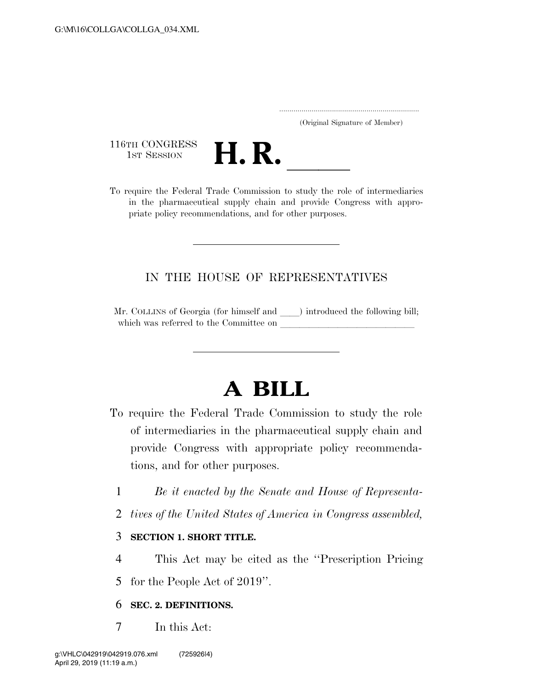..................................................................... (Original Signature of Member)

116TH CONGRESS<br>1st Session



116TH CONGRESS<br>
1st SESSION<br>
To require the Federal Trade Commission to study the role of intermediaries in the pharmaceutical supply chain and provide Congress with appropriate policy recommendations, and for other purposes.

## IN THE HOUSE OF REPRESENTATIVES

Mr. COLLINS of Georgia (for himself and ) introduced the following bill; which was referred to the Committee on

## **A BILL**

- To require the Federal Trade Commission to study the role of intermediaries in the pharmaceutical supply chain and provide Congress with appropriate policy recommendations, and for other purposes.
	- 1 *Be it enacted by the Senate and House of Representa-*
	- 2 *tives of the United States of America in Congress assembled,*

## 3 **SECTION 1. SHORT TITLE.**

- 4 This Act may be cited as the ''Prescription Pricing
- 5 for the People Act of 2019''.

## 6 **SEC. 2. DEFINITIONS.**

7 In this Act: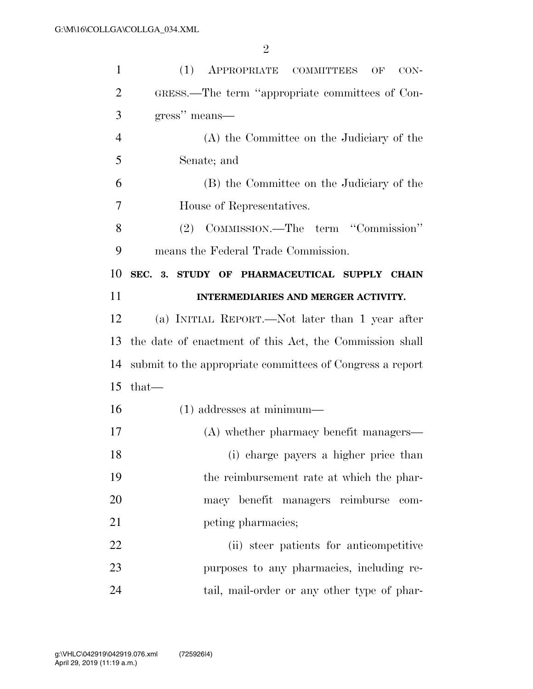| $\mathbf{1}$   | (1)<br>APPROPRIATE COMMITTEES<br>OF<br>$CON-$             |
|----------------|-----------------------------------------------------------|
| 2              | GRESS.—The term "appropriate committees of Con-           |
| 3              | gress" means—                                             |
| $\overline{4}$ | (A) the Committee on the Judiciary of the                 |
| 5              | Senate; and                                               |
| 6              | (B) the Committee on the Judiciary of the                 |
| 7              | House of Representatives.                                 |
| 8              | (2) COMMISSION.—The term "Commission"                     |
| 9              | means the Federal Trade Commission.                       |
| 10             | SEC. 3. STUDY OF PHARMACEUTICAL SUPPLY CHAIN              |
| 11             | INTERMEDIARIES AND MERGER ACTIVITY.                       |
| 12             | (a) INITIAL REPORT.—Not later than 1 year after           |
|                |                                                           |
| 13             | the date of enactment of this Act, the Commission shall   |
| 14             | submit to the appropriate committees of Congress a report |
| 15             | $that-$                                                   |
| 16             | $(1)$ addresses at minimum—                               |
| 17             | (A) whether pharmacy benefit managers—                    |
| 18             | (i) charge payers a higher price than                     |
| 19             | the reimbursement rate at which the phar-                 |
| 20             | macy benefit managers reimburse<br>com-                   |
| 21             | peting pharmacies;                                        |
| 22             | (ii) steer patients for anticompetitive                   |
| 23             | purposes to any pharmacies, including re-                 |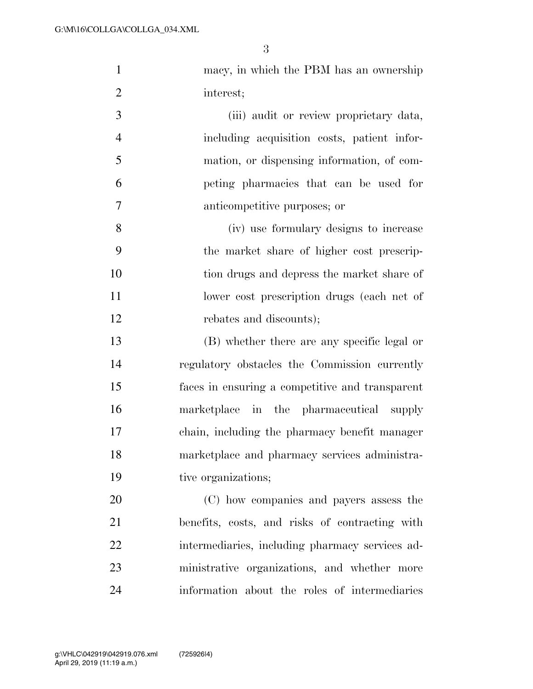| macy, in which the PBM has an ownership |
|-----------------------------------------|
| interest;                               |

 (iii) audit or review proprietary data, including acquisition costs, patient infor- mation, or dispensing information, of com- peting pharmacies that can be used for anticompetitive purposes; or

 (iv) use formulary designs to increase the market share of higher cost prescrip- tion drugs and depress the market share of 11 lower cost prescription drugs (each net of rebates and discounts);

 (B) whether there are any specific legal or regulatory obstacles the Commission currently faces in ensuring a competitive and transparent marketplace in the pharmaceutical supply chain, including the pharmacy benefit manager marketplace and pharmacy services administra-19 tive organizations;

 (C) how companies and payers assess the benefits, costs, and risks of contracting with intermediaries, including pharmacy services ad- ministrative organizations, and whether more information about the roles of intermediaries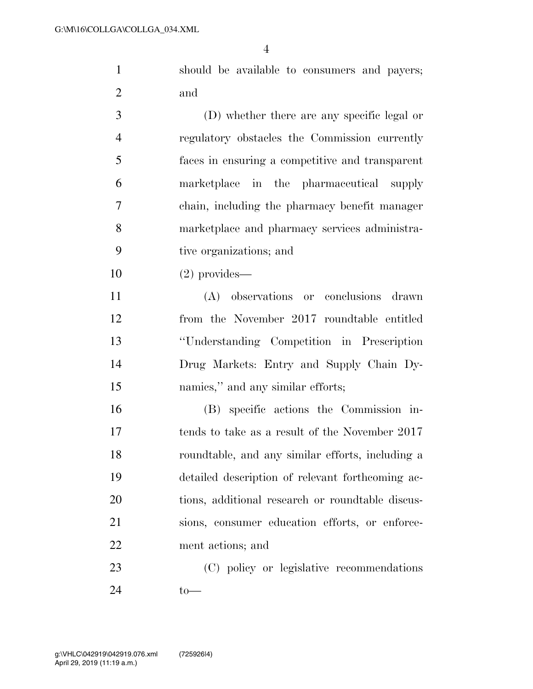should be available to consumers and payers; and

 (D) whether there are any specific legal or regulatory obstacles the Commission currently faces in ensuring a competitive and transparent marketplace in the pharmaceutical supply chain, including the pharmacy benefit manager marketplace and pharmacy services administra-tive organizations; and

(2) provides—

 (A) observations or conclusions drawn from the November 2017 roundtable entitled ''Understanding Competition in Prescription Drug Markets: Entry and Supply Chain Dy-15 namies," and any similar efforts;

 (B) specific actions the Commission in- tends to take as a result of the November 2017 roundtable, and any similar efforts, including a detailed description of relevant forthcoming ac- tions, additional research or roundtable discus- sions, consumer education efforts, or enforce-ment actions; and

 (C) policy or legislative recommendations to—